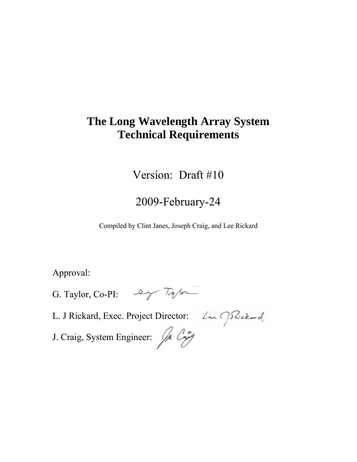# **The Long Wavelength Array System Technical Requirements**

Version: Draft #10

# 2009-February-24

Compiled by Clint Janes, Joseph Craig, and Lee Rickard

Approval:

G. Taylor, Co-PI:  $\frac{dy}{dx}$  Tylor

L. J Rickard, Exec. Project Director: Luis J.Rickard

J. Craig, System Engineer: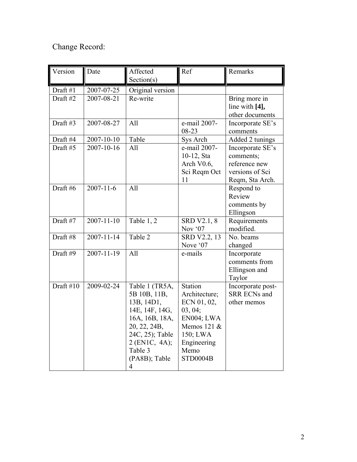## Change Record:

| Version   | Date             | Affected         | Ref                    | Remarks                         |
|-----------|------------------|------------------|------------------------|---------------------------------|
|           |                  | Section(s)       |                        |                                 |
| Draft #1  | 2007-07-25       | Original version |                        |                                 |
| Draft #2  | 2007-08-21       | Re-write         |                        | Bring more in<br>line with [4], |
|           |                  |                  |                        | other documents                 |
| Draft#3   | 2007-08-27       | All              | e-mail 2007-           | Incorporate SE's                |
|           |                  |                  | 08-23                  | comments                        |
| Draft #4  | 2007-10-10       | Table            | Sys Arch               | Added 2 tunings                 |
| Draft#5   | 2007-10-16       | All              | e-mail 2007-           | Incorporate SE's                |
|           |                  |                  | 10-12, Sta             | comments;                       |
|           |                  |                  | Arch V0.6,             | reference new                   |
|           |                  |                  | Sci Reqm Oct           | versions of Sci                 |
|           |                  |                  | 11                     | Reqm, Sta Arch.                 |
| Draft #6  | $2007 - 11 - 6$  | All              |                        | Respond to                      |
|           |                  |                  |                        | Review                          |
|           |                  |                  |                        | comments by                     |
|           |                  |                  |                        | Ellingson                       |
| Draft #7  | $2007 - 11 - 10$ | Table 1, 2       | SRD V2.1, 8<br>Nov '07 | Requirements<br>modified.       |
| Draft #8  | $2007 - 11 - 14$ | Table 2          | SRD V2.2, 13           | No. beams                       |
|           |                  |                  | Nove '07               | changed                         |
| Draft #9  | $2007 - 11 - 19$ | All              | e-mails                | Incorporate                     |
|           |                  |                  |                        | comments from                   |
|           |                  |                  |                        | Ellingson and                   |
|           |                  |                  |                        | Taylor                          |
| Draft #10 | 2009-02-24       | Table 1 (TR5A,   | <b>Station</b>         | Incorporate post-               |
|           |                  | 5B 10B, 11B,     | Architecture;          | <b>SRR ECNs and</b>             |
|           |                  | 13B, 14D1,       | ECN 01, 02,            | other memos                     |
|           |                  | 14E, 14F, 14G,   | 03, 04;                |                                 |
|           |                  | 16A, 16B, 18A,   | EN004; LWA             |                                 |
|           |                  | 20, 22, 24B,     | Memos 121 &            |                                 |
|           |                  | 24C, 25); Table  | 150; LWA               |                                 |
|           |                  | 2 (EN1C, 4A);    | Engineering            |                                 |
|           |                  | Table 3          | Memo                   |                                 |
|           |                  | (PA8B); Table    | <b>STD0004B</b>        |                                 |
|           |                  | $\overline{4}$   |                        |                                 |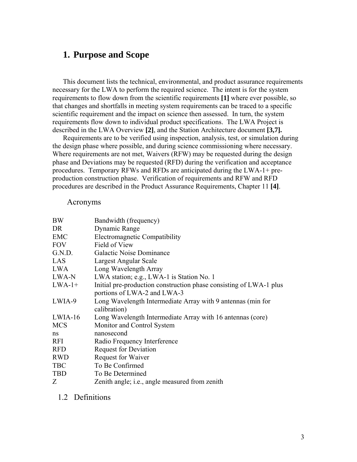#### **1. Purpose and Scope**

This document lists the technical, environmental, and product assurance requirements necessary for the LWA to perform the required science. The intent is for the system requirements to flow down from the scientific requirements **[1]** where ever possible, so that changes and shortfalls in meeting system requirements can be traced to a specific scientific requirement and the impact on science then assessed. In turn, the system requirements flow down to individual product specifications. The LWA Project is described in the LWA Overview **[2]**, and the Station Architecture document **[3,7].** 

Requirements are to be verified using inspection, analysis, test, or simulation during the design phase where possible, and during science commissioning where necessary. Where requirements are not met, Waivers (RFW) may be requested during the design phase and Deviations may be requested (RFD) during the verification and acceptance procedures. Temporary RFWs and RFDs are anticipated during the LWA-1+ preproduction construction phase. Verification of requirements and RFW and RFD procedures are described in the Product Assurance Requirements, Chapter 11 **[4]**.

#### Acronyms

| <b>BW</b>  | Bandwidth (frequency)                                              |
|------------|--------------------------------------------------------------------|
| DR         | Dynamic Range                                                      |
| <b>EMC</b> | Electromagnetic Compatibility                                      |
| <b>FOV</b> | Field of View                                                      |
| G.N.D.     | Galactic Noise Dominance                                           |
| LAS        | Largest Angular Scale                                              |
| <b>LWA</b> | Long Wavelength Array                                              |
| LWA-N      | LWA station; e.g., LWA-1 is Station No. 1                          |
| $LWA-1+$   | Initial pre-production construction phase consisting of LWA-1 plus |
|            | portions of LWA-2 and LWA-3                                        |
| LWIA-9     | Long Wavelength Intermediate Array with 9 antennas (min for        |
|            | calibration)                                                       |
| $LWIA-16$  | Long Wavelength Intermediate Array with 16 antennas (core)         |
| <b>MCS</b> | Monitor and Control System                                         |
| ns         | nanosecond                                                         |
| <b>RFI</b> | Radio Frequency Interference                                       |
| <b>RFD</b> | <b>Request for Deviation</b>                                       |
| <b>RWD</b> | Request for Waiver                                                 |
| <b>TBC</b> | To Be Confirmed                                                    |
| <b>TBD</b> | To Be Determined                                                   |
| Z          | Zenith angle; <i>i.e.</i> , angle measured from zenith             |

1.2 Definitions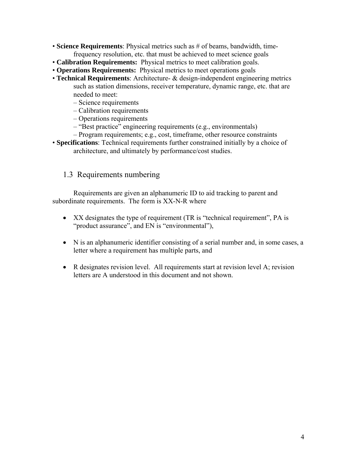- **Science Requirements**: Physical metrics such as # of beams, bandwidth, timefrequency resolution, etc. that must be achieved to meet science goals
- **Calibration Requirements:** Physical metrics to meet calibration goals.
- **Operations Requirements:** Physical metrics to meet operations goals
- **Technical Requirements**: Architecture- & design-independent engineering metrics such as station dimensions, receiver temperature, dynamic range, etc. that are needed to meet:
	- Science requirements
	- Calibration requirements
	- Operations requirements
	- "Best practice" engineering requirements (e.g., environmentals)
	- Program requirements; e.g., cost, timeframe, other resource constraints
- **Specifications**: Technical requirements further constrained initially by a choice of architecture, and ultimately by performance/cost studies.

#### 1.3 Requirements numbering

Requirements are given an alphanumeric ID to aid tracking to parent and subordinate requirements. The form is XX-N-R where

- XX designates the type of requirement (TR is "technical requirement", PA is "product assurance", and EN is "environmental"),
- N is an alphanumeric identifier consisting of a serial number and, in some cases, a letter where a requirement has multiple parts, and
- R designates revision level. All requirements start at revision level A; revision letters are A understood in this document and not shown.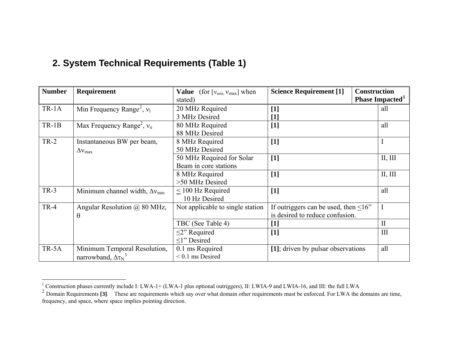#### **2. System Technical Requirements (Table 1)**

| <b>Number</b> | Requirement                                    | <b>Value</b> (for $[v_{min, v_{max}}]$ when | <b>Science Requirement</b> [1]              | <b>Construction</b> |                             |
|---------------|------------------------------------------------|---------------------------------------------|---------------------------------------------|---------------------|-----------------------------|
|               |                                                | stated)                                     |                                             |                     | Phase Impacted <sup>1</sup> |
| $TR-1A$       | Min Frequency Range <sup>2</sup> , $v_1$       | 20 MHz Required                             | $[1]$                                       |                     | all                         |
|               |                                                | 3 MHz Desired                               | $[1]$                                       |                     |                             |
| $TR-1B$       | Max Frequency Range <sup>2</sup> , $v_u$       | 80 MHz Required                             | $[1]$                                       |                     | all                         |
|               |                                                | 88 MHz Desired                              |                                             |                     |                             |
| $TR-2$        | Instantaneous BW per beam,                     | 8 MHz Required                              | $[1]$                                       |                     |                             |
|               | $\Delta v_{\rm max}$                           | 50 MHz Desired                              |                                             |                     |                             |
|               |                                                | 50 MHz Required for Solar                   | $[1]$                                       |                     | II, III                     |
|               |                                                | Beam in core stations                       |                                             |                     |                             |
|               |                                                | 8 MHz Required                              | $[1]$                                       |                     | II, III                     |
|               |                                                | >50 MHz Desired                             |                                             |                     |                             |
| $TR-3$        | Minimum channel width, $\Delta v_{\text{min}}$ | $\leq$ 100 Hz Required                      | $[1]$                                       |                     | all                         |
|               |                                                | 10 Hz Desired                               |                                             |                     |                             |
| <b>TR-4</b>   | Angular Resolution @ 80 MHz,                   | Not applicable to single station            | If outriggers can be used, then $\leq 16$ " |                     |                             |
|               | $\theta$                                       |                                             | is desired to reduce confusion.             |                     |                             |
|               |                                                | TBC (See Table 4)                           | $[1]$                                       |                     | $\mathbf{I}$                |
|               |                                                | $\leq$ ?' Required                          | $[1]$                                       |                     | III                         |
|               |                                                | $\leq$ 1" Desired                           |                                             |                     |                             |
| TR-5A         | Minimum Temporal Resolution,                   | 0.1 ms Required                             | [1]; driven by pulsar observations          |                     | all                         |
|               | narrowband, $\Delta \tau_N^3$                  | $< 0.1$ ms Desired                          |                                             |                     |                             |

<span id="page-4-2"></span><span id="page-4-1"></span><span id="page-4-0"></span><sup>&</sup>lt;sup>1</sup> Construction phases currently include I: LWA-1+ (LWA-1 plus optional outriggers), II: LWIA-9 and LWIA-16, and III: the full LWA<br><sup>2</sup> Domain Requirements [3]. These are requirements which say over what domain other requ frequency, and space, where space implies pointing direction.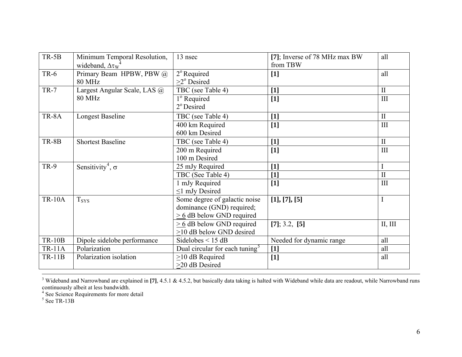| $TR-5B$       | Minimum Temporal Resolution,        | 13 nsec                                    | [7]; Inverse of 78 MHz max BW | all          |
|---------------|-------------------------------------|--------------------------------------------|-------------------------------|--------------|
|               | wideband, $\Delta \tau w^4$         |                                            | from TBW                      |              |
| <b>TR-6</b>   | Primary Beam HPBW, PBW @            | $2^{\circ}$ Required                       | $[1]$                         | all          |
|               | <b>80 MHz</b>                       | $>2^{\circ}$ Desired                       |                               |              |
| $TR-7$        | Largest Angular Scale, LAS @        | TBC (see Table 4)                          | $[1]$                         | $\mathbf{I}$ |
|               | <b>80 MHz</b>                       | 1 <sup>°</sup> Required                    | $[1]$                         | III          |
|               |                                     | 2 <sup>°</sup> Desired                     |                               |              |
| TR-8A         | <b>Longest Baseline</b>             | TBC (see Table 4)                          | $[1]$                         | $\mathbf{I}$ |
|               |                                     | 400 km Required                            | $[1]$                         | III          |
|               |                                     | 600 km Desired                             |                               |              |
| TR-8B         | <b>Shortest Baseline</b>            | TBC (see Table 4)                          | $[1]$                         | $\mathbf{I}$ |
|               |                                     | 200 m Required                             | $[1]$                         | III          |
|               |                                     | 100 m Desired                              |                               |              |
| <b>TR-9</b>   | Sensitivity <sup>4</sup> , $\sigma$ | 25 mJy Required                            | $[1]$                         |              |
|               |                                     | TBC (See Table 4)                          | $[1]$                         | $\mathbf{I}$ |
|               |                                     | 1 mJy Required                             | $[1]$                         | III          |
|               |                                     | $\leq$ 1 mJy Desired                       |                               |              |
| <b>TR-10A</b> | <b>T</b> <sub>SYS</sub>             | Some degree of galactic noise              | [1], [7], [5]                 |              |
|               |                                     | dominance (GND) required;                  |                               |              |
|               |                                     | $\geq 6$ dB below GND required             |                               |              |
|               |                                     | $\geq 6$ dB below GND required             | $[7]$ ; 3.2, $[5]$            | II, III      |
|               |                                     | >10 dB below GND desired                   |                               |              |
| <b>TR-10B</b> | Dipole sidelobe performance         | Sidelobes $\leq$ 15 dB                     | Needed for dynamic range      | all          |
| <b>TR-11A</b> | Polarization                        | Dual circular for each tuning <sup>5</sup> | $[1]$                         | all          |
| <b>TR-11B</b> | Polarization isolation              | $\geq$ 10 dB Required                      | $[1]$                         | all          |
|               |                                     | >20 dB Desired                             |                               |              |

<sup>3</sup> Wideband and Narrowband are explained in [7], 4.5.1 & 4.5.2, but basically data taking is halted with Wideband while data are readout, while Narrowband runs continuously albeit at less bandwidth.

<span id="page-5-0"></span><sup>4</sup> See Science Requirements for more detail

<span id="page-5-1"></span> $<sup>5</sup>$  See TR-13B</sup>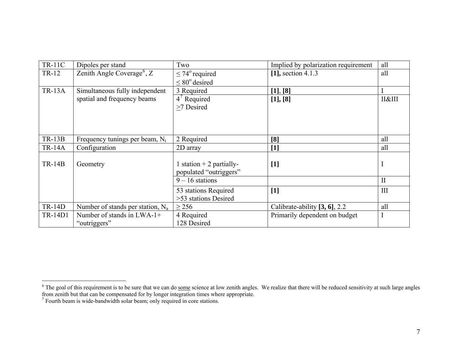| <b>TR-11C</b>  | Dipoles per stand                      | Two                          | Implied by polarization requirement | all          |
|----------------|----------------------------------------|------------------------------|-------------------------------------|--------------|
| TR-12          | Zenith Angle Coverage <sup>6</sup> , Z | $\leq$ 74 $\degree$ required | $[1]$ , section 4.1.3               | all          |
|                |                                        | $\leq 80^{\circ}$ desired    |                                     |              |
| <b>TR-13A</b>  | Simultaneous fully independent         | 3 Required                   | [1], [8]                            |              |
|                | spatial and frequency beams            | $4^7$ Required               | [1], [8]                            | II&III       |
|                |                                        | >7 Desired                   |                                     |              |
|                |                                        |                              |                                     |              |
|                |                                        |                              |                                     |              |
|                |                                        |                              |                                     |              |
| $TR-13B$       | Frequency tunings per beam, $N_t$      | 2 Required                   | [8]                                 | all          |
| <b>TR-14A</b>  | Configuration                          | 2D array                     | $[1]$                               | all          |
|                |                                        |                              |                                     |              |
| $TR-14B$       | Geometry                               | 1 station $+$ 2 partially-   | $[1]$                               | $\bf{I}$     |
|                |                                        | populated "outriggers"       |                                     |              |
|                |                                        | $9 - 16$ stations            |                                     | $\mathbf{I}$ |
|                |                                        | 53 stations Required         | $[1]$                               | III          |
|                |                                        | >53 stations Desired         |                                     |              |
| <b>TR-14D</b>  | Number of stands per station, $N_a$    | $\geq$ 256                   | Calibrate-ability [3, 6], 2.2       | all          |
| <b>TR-14D1</b> | Number of stands in $LWA-1+$           | 4 Required                   | Primarily dependent on budget       |              |
|                | "outriggers"                           | 128 Desired                  |                                     |              |

<span id="page-6-0"></span> $6$  The goal of this requirement is to be sure that we can do some science at low zenith angles. We realize that there will be reduced sensitivity at such large angles from zenith but that can be compensated for by longer integration times where appropriate.

<span id="page-6-1"></span> $<sup>7</sup>$  Fourth beam is wide-bandwidth solar beam; only required in core stations.</sup>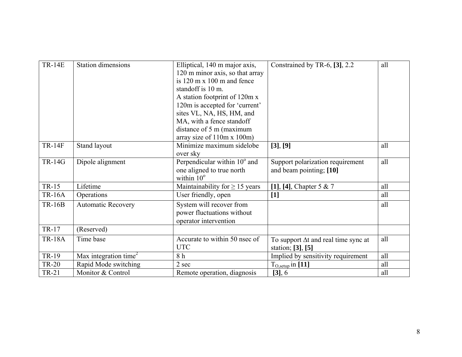| <b>TR-14E</b> | <b>Station dimensions</b>         | Elliptical, 140 m major axis,<br>120 m minor axis, so that array<br>is $120 \text{ m} \times 100 \text{ m}$ and fence<br>standoff is 10 m.<br>A station footprint of 120m x<br>120m is accepted for 'current'<br>sites VL, NA, HS, HM, and<br>MA, with a fence standoff<br>distance of 5 m (maximum<br>array size of 110m x 100m) | Constrained by TR-6, [3], 2.2                                    | all |
|---------------|-----------------------------------|-----------------------------------------------------------------------------------------------------------------------------------------------------------------------------------------------------------------------------------------------------------------------------------------------------------------------------------|------------------------------------------------------------------|-----|
| <b>TR-14F</b> | Stand layout                      | Minimize maximum sidelobe<br>over sky                                                                                                                                                                                                                                                                                             | [3], [9]                                                         | all |
| <b>TR-14G</b> | Dipole alignment                  | Perpendicular within $\overline{10^{\circ}}$ and<br>one aligned to true north<br>within $10^{\circ}$                                                                                                                                                                                                                              | Support polarization requirement<br>and beam pointing; [10]      | all |
| TR-15         | Lifetime                          | Maintainability for $\geq$ 15 years                                                                                                                                                                                                                                                                                               | [1], [4], Chapter 5 & 7                                          | all |
| <b>TR-16A</b> | Operations                        | User friendly, open                                                                                                                                                                                                                                                                                                               | $[1]$                                                            | all |
| <b>TR-16B</b> | <b>Automatic Recovery</b>         | System will recover from<br>power fluctuations without<br>operator intervention                                                                                                                                                                                                                                                   |                                                                  | all |
| TR-17         | (Reserved)                        |                                                                                                                                                                                                                                                                                                                                   |                                                                  |     |
| <b>TR-18A</b> | Time base                         | Accurate to within 50 nsec of<br><b>UTC</b>                                                                                                                                                                                                                                                                                       | To support $\Delta t$ and real time sync at<br>station; [3], [5] | all |
| TR-19         | Max integration time <sup>2</sup> | 8 h                                                                                                                                                                                                                                                                                                                               | Implied by sensitivity requirement                               | all |
| <b>TR-20</b>  | Rapid Mode switching              | 2 sec                                                                                                                                                                                                                                                                                                                             | $T_{O,setup}$ in [11]                                            | all |
| <b>TR-21</b>  | Monitor & Control                 | Remote operation, diagnosis                                                                                                                                                                                                                                                                                                       | [3], 6                                                           | all |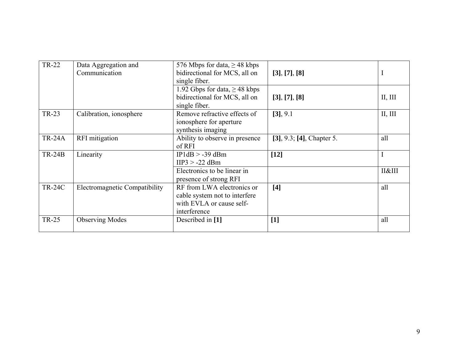| <b>TR-22</b>  | Data Aggregation and<br>Communication | 576 Mbps for data, $\geq$ 48 kbps<br>bidirectional for MCS, all on<br>single fiber.                     | [3], [7], [8]                |                |
|---------------|---------------------------------------|---------------------------------------------------------------------------------------------------------|------------------------------|----------------|
|               |                                       | 1.92 Gbps for data, $\geq$ 48 kbps<br>bidirectional for MCS, all on<br>single fiber.                    | [3], [7], [8]                | II, III        |
| <b>TR-23</b>  | Calibration, ionosphere               | Remove refractive effects of<br>ionosphere for aperture<br>synthesis imaging                            | $[3]$ , 9.1                  | II, III        |
| <b>TR-24A</b> | RFI mitigation                        | Ability to observe in presence<br>of RFI                                                                | $[3]$ , 9.3; [4], Chapter 5. | all            |
| <b>TR-24B</b> | Linearity                             | $IP1dB > -39dBm$<br>$HP3 > -22$ dBm                                                                     | $[12]$                       | 1              |
|               |                                       | Electronics to be linear in<br>presence of strong RFI                                                   |                              | <b>П&amp;Ш</b> |
| <b>TR-24C</b> | Electromagnetic Compatibility         | RF from LWA electronics or<br>cable system not to interfere<br>with EVLA or cause self-<br>interference | [4]                          | all            |
| <b>TR-25</b>  | <b>Observing Modes</b>                | Described in [1]                                                                                        | $[1]$                        | all            |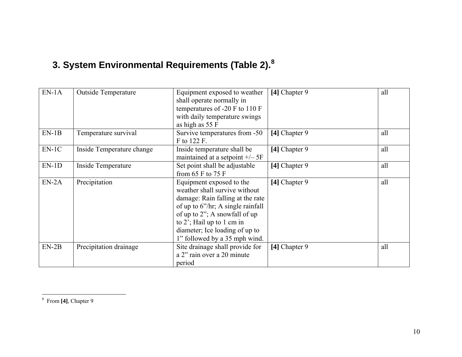# **3. System Environmental Requirements (Table 2).[8](#page-9-0)**

| $EN-1A$ | <b>Outside Temperature</b> | Equipment exposed to weather<br>shall operate normally in<br>temperatures of -20 F to 110 F                                                                                                                                                                             | [4] Chapter 9 | all |
|---------|----------------------------|-------------------------------------------------------------------------------------------------------------------------------------------------------------------------------------------------------------------------------------------------------------------------|---------------|-----|
|         |                            | with daily temperature swings<br>as high as 55 F                                                                                                                                                                                                                        |               |     |
| $EN-1B$ | Temperature survival       | Survive temperatures from -50<br>F to 122 F.                                                                                                                                                                                                                            | [4] Chapter 9 | all |
| $EN-1C$ | Inside Temperature change  | Inside temperature shall be<br>maintained at a setpoint $+/- 5F$                                                                                                                                                                                                        | [4] Chapter 9 | all |
| $EN-1D$ | Inside Temperature         | Set point shall be adjustable<br>from 65 $F$ to 75 $F$                                                                                                                                                                                                                  | [4] Chapter 9 | all |
| $EN-2A$ | Precipitation              | Equipment exposed to the<br>weather shall survive without<br>damage: Rain falling at the rate<br>of up to $6''/hr$ ; A single rainfall<br>of up to 2"; A snowfall of up<br>to 2'; Hail up to 1 cm in<br>diameter; Ice loading of up to<br>1" followed by a 35 mph wind. | [4] Chapter 9 | all |
| $EN-2B$ | Precipitation drainage     | Site drainage shall provide for<br>a 2" rain over a 20 minute<br>period                                                                                                                                                                                                 | [4] Chapter 9 | all |

<span id="page-9-0"></span>8 From **[4]**, Chapter 9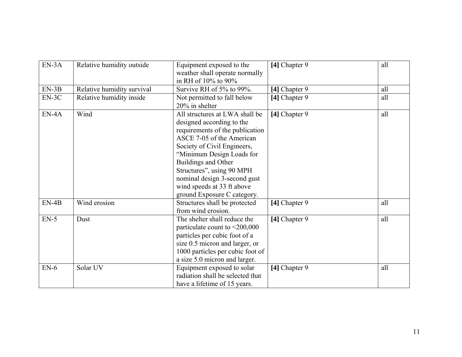| $EN-3A$ | Relative humidity outside  | Equipment exposed to the<br>weather shall operate normally<br>in RH of 10% to 90%                                                                                                                                                                                                                                                        | [4] Chapter 9 | all |
|---------|----------------------------|------------------------------------------------------------------------------------------------------------------------------------------------------------------------------------------------------------------------------------------------------------------------------------------------------------------------------------------|---------------|-----|
| $EN-3B$ | Relative humidity survival | Survive RH of 5% to 99%.                                                                                                                                                                                                                                                                                                                 | [4] Chapter 9 | all |
| $EN-3C$ | Relative humidity inside   | Not permitted to fall below<br>20% in shelter                                                                                                                                                                                                                                                                                            | [4] Chapter 9 | all |
| $EN-4A$ | Wind                       | All structures at LWA shall be<br>designed according to the<br>requirements of the publication<br>ASCE 7-05 of the American<br>Society of Civil Engineers,<br>"Minimum Design Loads for<br>Buildings and Other<br>Structures", using 90 MPH<br>nominal design 3-second gust<br>wind speeds at 33 ft above<br>ground Exposure C category. | [4] Chapter 9 | all |
| $EN-4B$ | Wind erosion               | Structures shall be protected<br>from wind erosion.                                                                                                                                                                                                                                                                                      | [4] Chapter 9 | all |
| $EN-5$  | Dust                       | The shelter shall reduce the<br>particulate count to $\leq 200,000$<br>particles per cubic foot of a<br>size 0.5 micron and larger, or<br>1000 particles per cubic foot of<br>a size 5.0 micron and larger.                                                                                                                              | [4] Chapter 9 | all |
| $EN-6$  | Solar UV                   | Equipment exposed to solar<br>radiation shall be selected that<br>have a lifetime of 15 years.                                                                                                                                                                                                                                           | [4] Chapter 9 | all |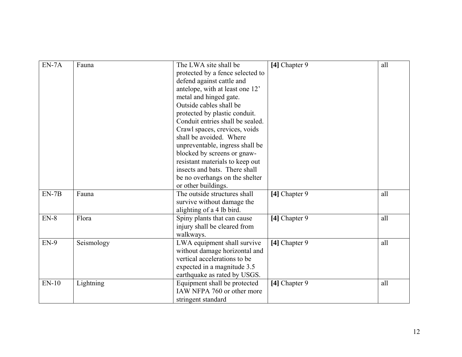| $EN-7A$ | Fauna      | The LWA site shall be            | [4] Chapter 9 | all |
|---------|------------|----------------------------------|---------------|-----|
|         |            | protected by a fence selected to |               |     |
|         |            | defend against cattle and        |               |     |
|         |            | antelope, with at least one 12'  |               |     |
|         |            | metal and hinged gate.           |               |     |
|         |            | Outside cables shall be          |               |     |
|         |            | protected by plastic conduit.    |               |     |
|         |            | Conduit entries shall be sealed. |               |     |
|         |            | Crawl spaces, crevices, voids    |               |     |
|         |            | shall be avoided. Where          |               |     |
|         |            | unpreventable, ingress shall be  |               |     |
|         |            | blocked by screens or gnaw-      |               |     |
|         |            | resistant materials to keep out  |               |     |
|         |            | insects and bats. There shall    |               |     |
|         |            | be no overhangs on the shelter   |               |     |
|         |            | or other buildings.              |               |     |
| $EN-7B$ | Fauna      | The outside structures shall     | [4] Chapter 9 | all |
|         |            | survive without damage the       |               |     |
|         |            | alighting of a 4 lb bird.        |               |     |
| $EN-8$  | Flora      | Spiny plants that can cause      | [4] Chapter 9 | all |
|         |            | injury shall be cleared from     |               |     |
|         |            | walkways.                        |               |     |
| $EN-9$  | Seismology | LWA equipment shall survive      | [4] Chapter 9 | all |
|         |            | without damage horizontal and    |               |     |
|         |            | vertical accelerations to be     |               |     |
|         |            | expected in a magnitude 3.5      |               |     |
|         |            | earthquake as rated by USGS.     |               |     |
| $EN-10$ | Lightning  | Equipment shall be protected     | [4] Chapter 9 | all |
|         |            | IAW NFPA 760 or other more       |               |     |
|         |            | stringent standard               |               |     |
|         |            |                                  |               |     |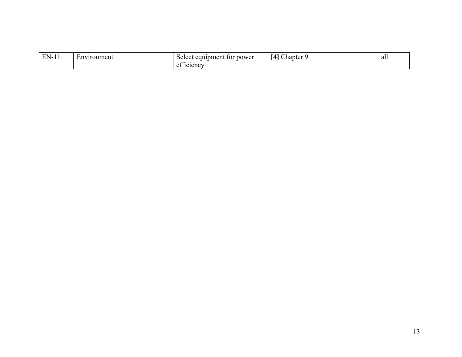| FN. | Environment | power<br>equipment<br>tor<br>Select | $\sim$<br>$\sim$<br>hapter<br>ıд | alı |
|-----|-------------|-------------------------------------|----------------------------------|-----|
|     |             | $\sim$<br>aticiency.                |                                  |     |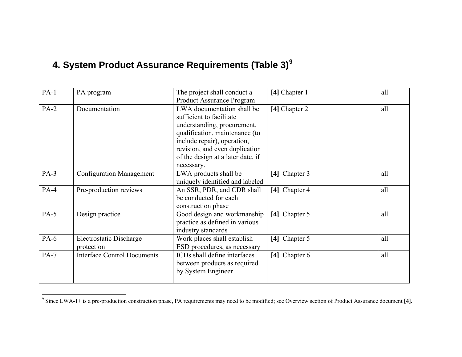### **4. System Product Assurance Requirements (Table 3)[9](#page-13-0)**

| $PA-1$ | PA program                                   | The project shall conduct a                                                                                                                                                                                                                 | [4] Chapter 1 | all |
|--------|----------------------------------------------|---------------------------------------------------------------------------------------------------------------------------------------------------------------------------------------------------------------------------------------------|---------------|-----|
|        |                                              | Product Assurance Program                                                                                                                                                                                                                   |               |     |
| $PA-2$ | Documentation                                | LWA documentation shall be<br>sufficient to facilitate<br>understanding, procurement,<br>qualification, maintenance (to<br>include repair), operation,<br>revision, and even duplication<br>of the design at a later date, if<br>necessary. | [4] Chapter 2 | all |
| $PA-3$ | <b>Configuration Management</b>              | LWA products shall be<br>uniquely identified and labeled                                                                                                                                                                                    | [4] Chapter 3 | all |
| $PA-4$ | Pre-production reviews                       | An SSR, PDR, and CDR shall<br>be conducted for each<br>construction phase                                                                                                                                                                   | [4] Chapter 4 | all |
| $PA-5$ | Design practice                              | Good design and workmanship<br>practice as defined in various<br>industry standards                                                                                                                                                         | [4] Chapter 5 | all |
| $PA-6$ | <b>Electrostatic Discharge</b><br>protection | Work places shall establish<br>ESD procedures, as necessary                                                                                                                                                                                 | [4] Chapter 5 | all |
| $PA-7$ | <b>Interface Control Documents</b>           | ICDs shall define interfaces<br>between products as required<br>by System Engineer                                                                                                                                                          | [4] Chapter 6 | all |

<span id="page-13-0"></span><sup>&</sup>lt;sup>9</sup> Since LWA-1+ is a pre-production construction phase, PA requirements may need to be modified; see Overview section of Product Assurance document [4].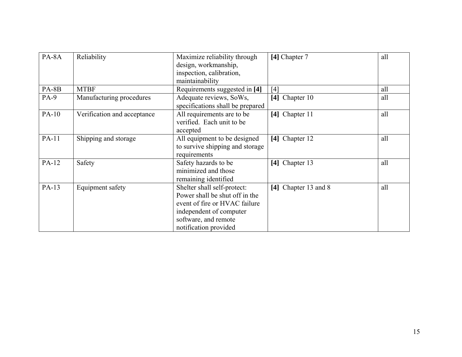| PA-8A        | Reliability                 | Maximize reliability through     | [4] Chapter 7        | all |
|--------------|-----------------------------|----------------------------------|----------------------|-----|
|              |                             | design, workmanship,             |                      |     |
|              |                             | inspection, calibration,         |                      |     |
|              |                             | maintainability                  |                      |     |
| $PA-8B$      | <b>MTBF</b>                 | Requirements suggested in [4]    | [4]                  | all |
| $PA-9$       | Manufacturing procedures    | Adequate reviews, SoWs,          | [4] Chapter 10       | all |
|              |                             | specifications shall be prepared |                      |     |
| <b>PA-10</b> | Verification and acceptance | All requirements are to be       | [4] Chapter 11       | all |
|              |                             | verified. Each unit to be        |                      |     |
|              |                             | accepted                         |                      |     |
| PA-11        | Shipping and storage        | All equipment to be designed     | [4] Chapter 12       | all |
|              |                             | to survive shipping and storage  |                      |     |
|              |                             | requirements                     |                      |     |
| PA-12        | Safety                      | Safety hazards to be             | [4] Chapter 13       | all |
|              |                             | minimized and those              |                      |     |
|              |                             | remaining identified             |                      |     |
| PA-13        | Equipment safety            | Shelter shall self-protect:      | [4] Chapter 13 and 8 | all |
|              |                             | Power shall be shut off in the   |                      |     |
|              |                             | event of fire or HVAC failure    |                      |     |
|              |                             | independent of computer          |                      |     |
|              |                             | software, and remote             |                      |     |
|              |                             | notification provided            |                      |     |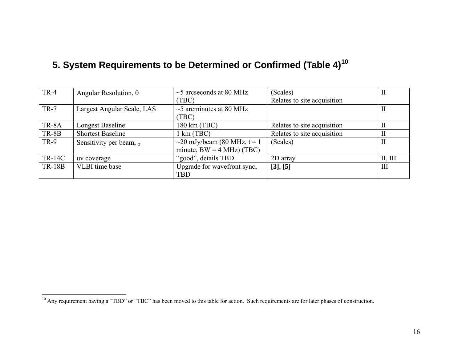|  |  |  |  |  | 5. System Requirements to be Determined or Confirmed (Table 4) <sup>10</sup> |  |
|--|--|--|--|--|------------------------------------------------------------------------------|--|
|--|--|--|--|--|------------------------------------------------------------------------------|--|

| <b>TR-4</b>   | Angular Resolution, $\theta$   | $\sim$ 5 arcseconds at 80 MHz      | (Scales)                    | $\rm II$ |
|---------------|--------------------------------|------------------------------------|-----------------------------|----------|
|               |                                | (TBC)                              | Relates to site acquisition |          |
| <b>TR-7</b>   | Largest Angular Scale, LAS     | $\sim$ 5 arcminutes at 80 MHz      |                             |          |
|               |                                | (TBC)                              |                             |          |
| TR-8A         | Longest Baseline               | 180 km (TBC)                       | Relates to site acquisition | H        |
| TR-8B         | <b>Shortest Baseline</b>       | $1 \text{ km}$ (TBC)               | Relates to site acquisition | $\rm II$ |
| <b>TR-9</b>   | Sensitivity per beam, $\sigma$ | $\sim$ 20 mJy/beam (80 MHz, t = 1) | (Scales)                    |          |
|               |                                | minute, $BW = 4 MHz$ (TBC)         |                             |          |
| <b>TR-14C</b> | uv coverage                    | "good", details TBD                | 2D array                    | II, III  |
| <b>TR-18B</b> | VLBI time base                 | Upgrade for wavefront sync,        | [3], [5]                    | III      |
|               |                                | <b>TBD</b>                         |                             |          |

<span id="page-15-0"></span><sup>&</sup>lt;sup>10</sup> Any requirement having a "TBD" or "TBC" has been moved to this table for action. Such requirements are for later phases of construction.